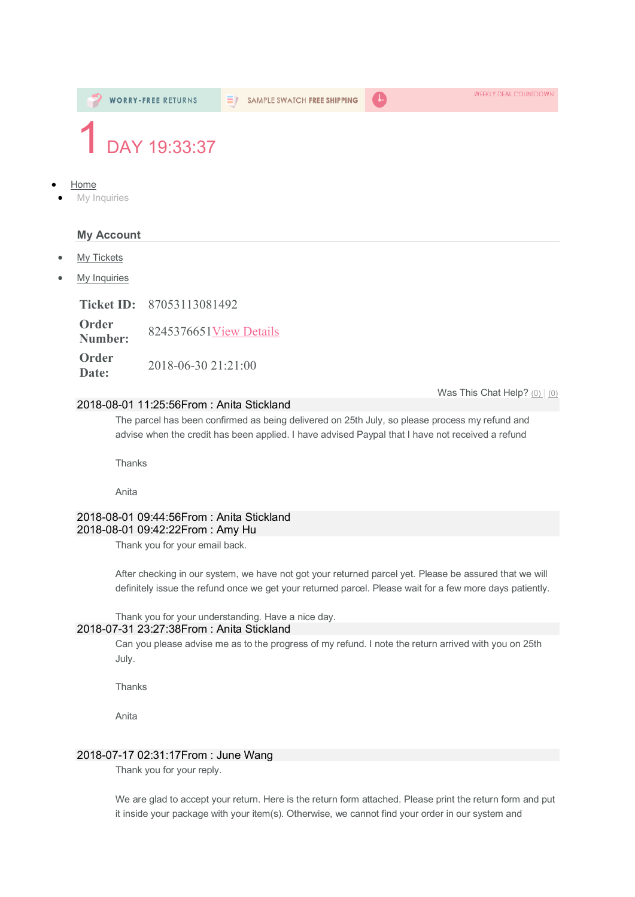

**Date:** 2018-06-30 21:21:00

### 2018-08-01 11:25:56From : Anita Stickland

The parcel has been confirmed as being delivered on 25th July, so please process my refund and advise when the credit has been applied. I have advised Paypal that I have not received a refund

Thanks

Anita

### 2018-08-01 09:44:56From : Anita Stickland 2018-08-01 09:42:22From : Amy Hu

Thank you for your email back.

After checking in our system, we have not got your returned parcel yet. Please be assured that we will definitely issue the refund once we get your returned parcel. Please wait for a few more days patiently.

### Thank you for your understanding. Have a nice day.

## 2018-07-31 23:27:38From : Anita Stickland

Can you please advise me as to the progress of my refund. I note the return arrived with you on 25th July.

**Thanks** 

Anita

## 2018-07-17 02:31:17From : June Wang

Thank you for your reply.

We are glad to accept your return. Here is the return form attached. Please print the return form and put it inside your package with your item(s). Otherwise, we cannot find your order in our system and

Was This Chat Help? (0) (0)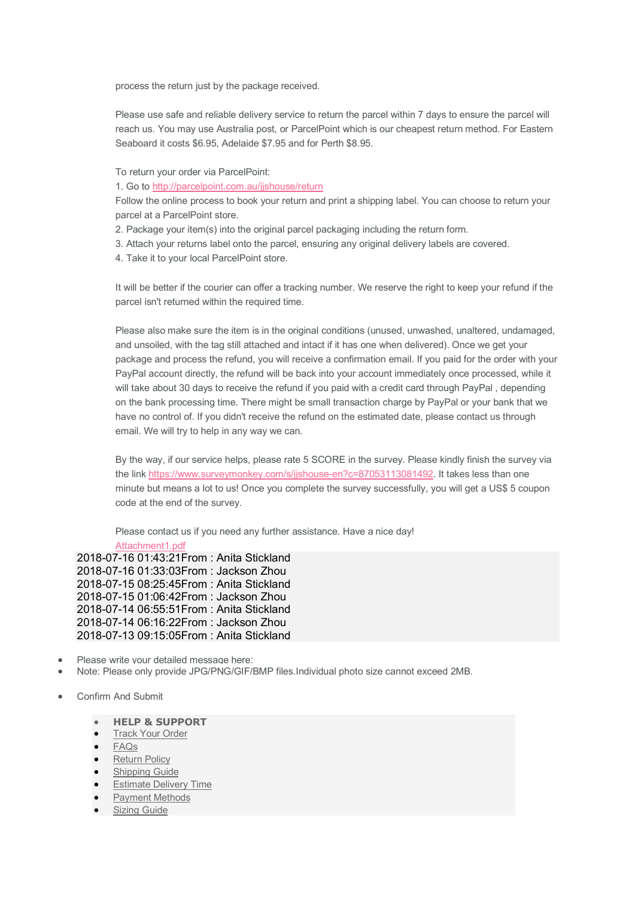process the return just by the package received.

Please use safe and reliable delivery service to return the parcel within 7 days to ensure the parcel will reach us. You may use Australia post, or ParcelPoint which is our cheapest return method. For Eastern Seaboard it costs \$6.95, Adelaide \$7.95 and for Perth \$8.95.

To return your order via ParcelPoint:

1. Go to http://parcelpoint.com.au/jjshouse/return

Follow the online process to book your return and print a shipping label. You can choose to return your parcel at a ParcelPoint store.

- 2. Package your item(s) into the original parcel packaging including the return form.
- 3. Attach your returns label onto the parcel, ensuring any original delivery labels are covered.
- 4. Take it to your local ParcelPoint store.

It will be better if the courier can offer a tracking number. We reserve the right to keep your refund if the parcel isn't returned within the required time.

Please also make sure the item is in the original conditions (unused, unwashed, unaltered, undamaged, and unsoiled, with the tag still attached and intact if it has one when delivered). Once we get your package and process the refund, you will receive a confirmation email. If you paid for the order with your PayPal account directly, the refund will be back into your account immediately once processed, while it will take about 30 days to receive the refund if you paid with a credit card through PayPal , depending on the bank processing time. There might be small transaction charge by PayPal or your bank that we have no control of. If you didn't receive the refund on the estimated date, please contact us through email. We will try to help in any way we can.

By the way, if our service helps, please rate 5 SCORE in the survey. Please kindly finish the survey via the link https://www.surveymonkey.com/s/jjshouse-en?c=87053113081492. It takes less than one minute but means a lot to us! Once you complete the survey successfully, you will get a US\$ 5 coupon code at the end of the survey.

Please contact us if you need any further assistance. Have a nice day!

Attachment1.pdf

2018-07-16 01:43:21From : Anita Stickland 2018-07-16 01:33:03From : Jackson Zhou 2018-07-15 08:25:45From : Anita Stickland 2018-07-15 01:06:42From : Jackson Zhou 2018-07-14 06:55:51From : Anita Stickland 2018-07-14 06:16:22From : Jackson Zhou 2018-07-13 09:15:05From : Anita Stickland

- Please write your detailed message here:
- Note: Please only provide JPG/PNG/GIF/BMP files.Individual photo size cannot exceed 2MB.
- Confirm And Submit
	- **HELP & SUPPORT**
	- **Track Your Order**
	- FAQs
	- Return Policy
	- Shipping Guide
	- Estimate Delivery Time
	- **Payment Methods**
	- Sizing Guide